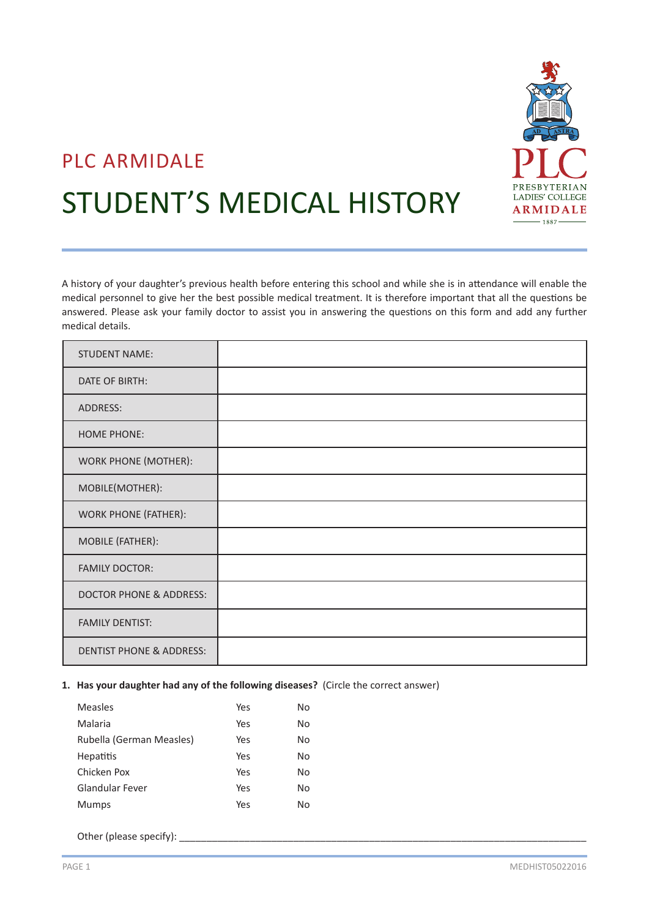

# PLC ARMIDALE

# STUDENT'S MEDICAL HISTORY

A history of your daughter's previous health before entering this school and while she is in attendance will enable the medical personnel to give her the best possible medical treatment. It is therefore important that all the questions be answered. Please ask your family doctor to assist you in answering the questions on this form and add any further medical details.

| <b>STUDENT NAME:</b>                |  |
|-------------------------------------|--|
| DATE OF BIRTH:                      |  |
| ADDRESS:                            |  |
| <b>HOME PHONE:</b>                  |  |
| <b>WORK PHONE (MOTHER):</b>         |  |
| MOBILE(MOTHER):                     |  |
| <b>WORK PHONE (FATHER):</b>         |  |
| MOBILE (FATHER):                    |  |
| <b>FAMILY DOCTOR:</b>               |  |
| <b>DOCTOR PHONE &amp; ADDRESS:</b>  |  |
| <b>FAMILY DENTIST:</b>              |  |
| <b>DENTIST PHONE &amp; ADDRESS:</b> |  |

#### **1. Has your daughter had any of the following diseases?** (Circle the correct answer)

| Measles                  | Yes | No |
|--------------------------|-----|----|
| Malaria                  | Yes | No |
| Rubella (German Measles) | Yes | No |
| <b>Hepatitis</b>         | Yes | No |
| Chicken Pox              | Yes | No |
| <b>Glandular Fever</b>   | Yes | No |
| Mumps                    | Yes | No |
|                          |     |    |

Other (please specify): \_\_\_\_\_\_\_\_\_\_\_\_\_\_\_\_\_\_\_\_\_\_\_\_\_\_\_\_\_\_\_\_\_\_\_\_\_\_\_\_\_\_\_\_\_\_\_\_\_\_\_\_\_\_\_\_\_\_\_\_\_\_\_\_\_\_\_\_\_\_\_\_\_\_\_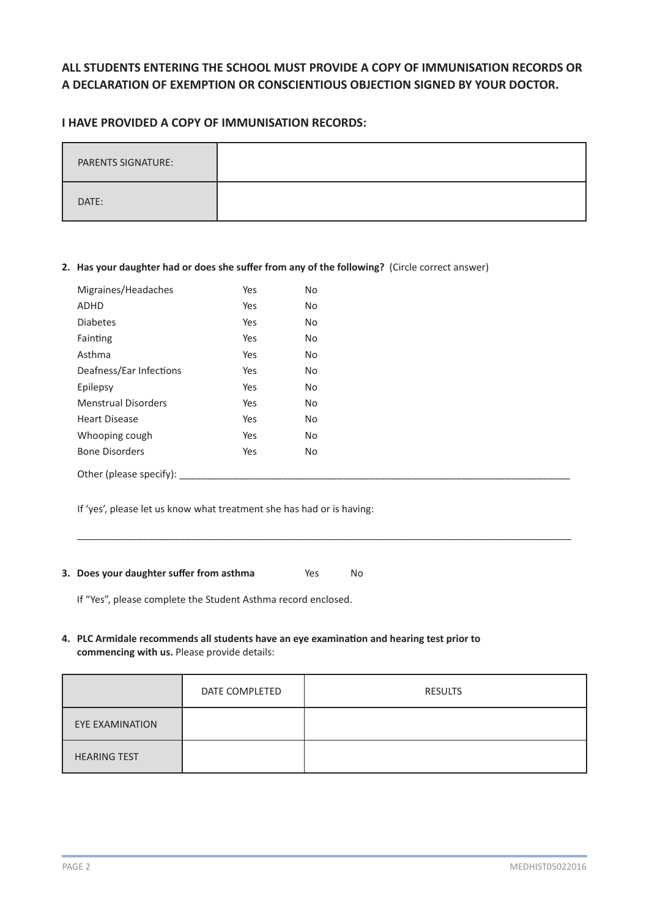# **ALL STUDENTS ENTERING THE SCHOOL MUST PROVIDE A COPY OF IMMUNISATION RECORDS OR A DECLARATION OF EXEMPTION OR CONSCIENTIOUS OBJECTION SIGNED BY YOUR DOCTOR.**

### **I HAVE PROVIDED A COPY OF IMMUNISATION RECORDS:**

| <b>PARENTS SIGNATURE:</b> |  |
|---------------------------|--|
| DATE:                     |  |

#### **2. Has your daughter had or does she suffer from any of the following?** (Circle correct answer)

| Migraines/Headaches        | Yes | No. |
|----------------------------|-----|-----|
| ADHD                       | Yes | No. |
| <b>Diabetes</b>            | Yes | No  |
| Fainting                   | Yes | No. |
| Asthma                     | Yes | No. |
| Deafness/Ear Infections    | Yes | No. |
| Epilepsy                   | Yes | No. |
| <b>Menstrual Disorders</b> | Yes | No. |
| <b>Heart Disease</b>       | Yes | No  |
| Whooping cough             | Yes | No. |
| <b>Bone Disorders</b>      | Yes | No. |
| Other (please specify):    |     |     |

If 'yes', please let us know what treatment she has had or is having:

## **3. Does your daughter suffer from asthma** Yes No

If "Yes", please complete the Student Asthma record enclosed.

#### **4. PLC Armidale recommends all students have an eye examination and hearing test prior to commencing with us.** Please provide details:

|                     | DATE COMPLETED | <b>RESULTS</b> |
|---------------------|----------------|----------------|
| EYE EXAMINATION     |                |                |
| <b>HEARING TEST</b> |                |                |

 $\_$  , and the set of the set of the set of the set of the set of the set of the set of the set of the set of the set of the set of the set of the set of the set of the set of the set of the set of the set of the set of th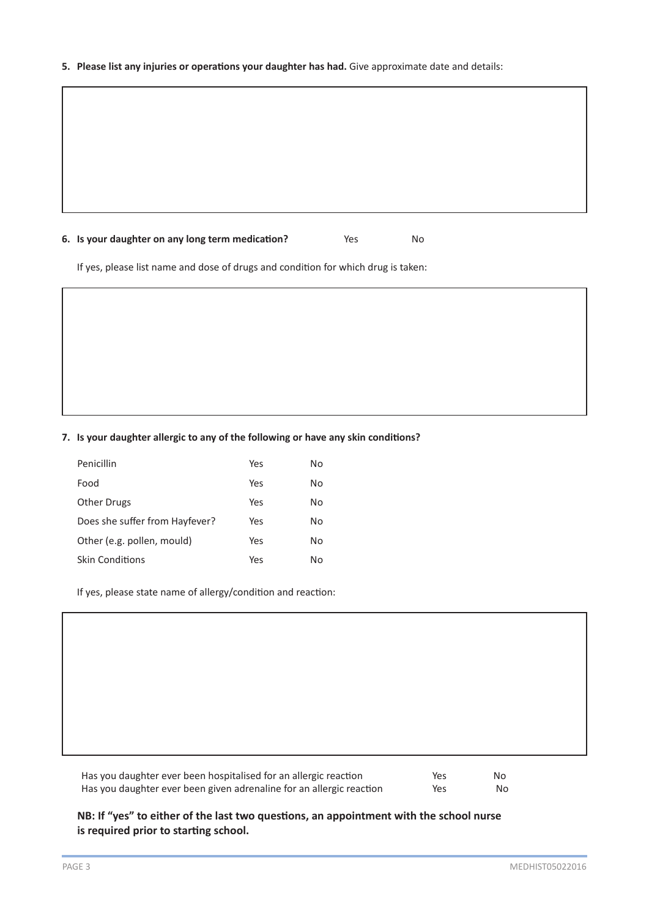#### **5. Please list any injuries or operations your daughter has had.** Give approximate date and details:

#### **6. Is your daughter on any long term medication?** Yes No

If yes, please list name and dose of drugs and condition for which drug is taken:

#### **7. Is your daughter allergic to any of the following or have any skin conditions?**

| Penicillin                     | Yes | No |
|--------------------------------|-----|----|
| Food                           | Yes | No |
| <b>Other Drugs</b>             | Yes | No |
| Does she suffer from Hayfever? | Yes | No |
| Other (e.g. pollen, mould)     | Yes | No |
| <b>Skin Conditions</b>         | Yes | N٥ |

If yes, please state name of allergy/condition and reaction:

Has you daughter ever been hospitalised for an allergic reaction Yes Yes No Has you daughter ever been given adrenaline for an allergic reaction Yes No

#### **NB: If "yes" to either of the last two questions, an appointment with the school nurse is required prior to starting school.**

I I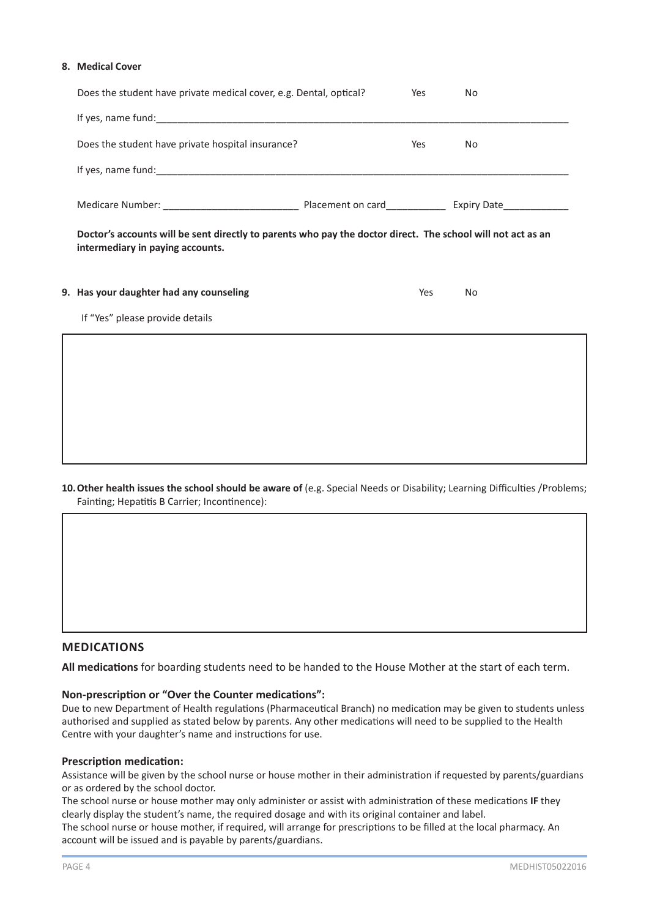#### **8. Medical Cover**

ľ I

| Does the student have private medical cover, e.g. Dental, optical?                                                                              | Yes | No. |  |
|-------------------------------------------------------------------------------------------------------------------------------------------------|-----|-----|--|
|                                                                                                                                                 |     |     |  |
| Does the student have private hospital insurance?                                                                                               | Yes | No. |  |
|                                                                                                                                                 |     |     |  |
|                                                                                                                                                 |     |     |  |
| Doctor's accounts will be sent directly to parents who pay the doctor direct. The school will not act as an<br>intermediary in paying accounts. |     |     |  |
| 9. Has your daughter had any counseling                                                                                                         | Yes | No. |  |
| If "Yes" please provide details                                                                                                                 |     |     |  |
|                                                                                                                                                 |     |     |  |

#### **10. Other health issues the school should be aware of** (e.g. Special Needs or Disability; Learning Difficulties /Problems; Fainting; Hepatitis B Carrier; Incontinence):

#### **MEDICATIONS**

**All medications** for boarding students need to be handed to the House Mother at the start of each term.

#### **Non-prescription or "Over the Counter medications":**

Due to new Department of Health regulations (Pharmaceutical Branch) no medication may be given to students unless authorised and supplied as stated below by parents. Any other medications will need to be supplied to the Health Centre with your daughter's name and instructions for use.

#### **Prescription medication:**

Assistance will be given by the school nurse or house mother in their administration if requested by parents/guardians or as ordered by the school doctor.

The school nurse or house mother may only administer or assist with administration of these medications **IF** they clearly display the student's name, the required dosage and with its original container and label.

The school nurse or house mother, if required, will arrange for prescriptions to be filled at the local pharmacy. An account will be issued and is payable by parents/guardians.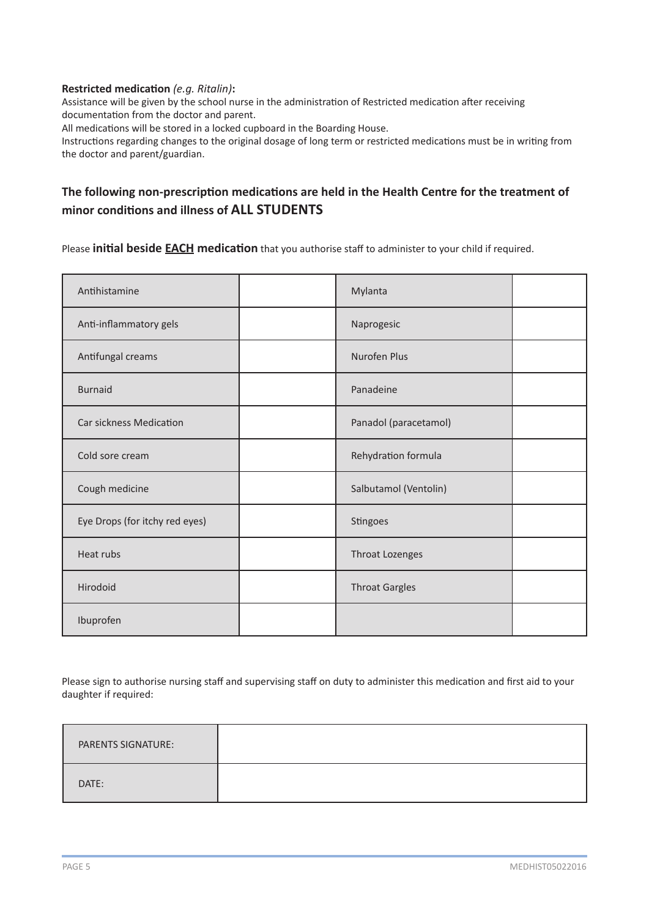#### **Restricted medication** *(e.g. Ritalin)***:**

Assistance will be given by the school nurse in the administration of Restricted medication after receiving documentation from the doctor and parent.

All medications will be stored in a locked cupboard in the Boarding House.

Instructions regarding changes to the original dosage of long term or restricted medications must be in writing from the doctor and parent/guardian.

# **The following non-prescription medications are held in the Health Centre for the treatment of minor conditions and illness of ALL STUDENTS**

Please **initial beside EACH medication** that you authorise staff to administer to your child if required.

| Antihistamine                  | Mylanta               |  |
|--------------------------------|-----------------------|--|
| Anti-inflammatory gels         | Naprogesic            |  |
| Antifungal creams              | Nurofen Plus          |  |
| <b>Burnaid</b>                 | Panadeine             |  |
| <b>Car sickness Medication</b> | Panadol (paracetamol) |  |
| Cold sore cream                | Rehydration formula   |  |
| Cough medicine                 | Salbutamol (Ventolin) |  |
| Eye Drops (for itchy red eyes) | Stingoes              |  |
| Heat rubs                      | Throat Lozenges       |  |
| Hirodoid                       | <b>Throat Gargles</b> |  |
| Ibuprofen                      |                       |  |

Please sign to authorise nursing staff and supervising staff on duty to administer this medication and first aid to your daughter if required:

| <b>PARENTS SIGNATURE:</b> |  |
|---------------------------|--|
| DATE:                     |  |